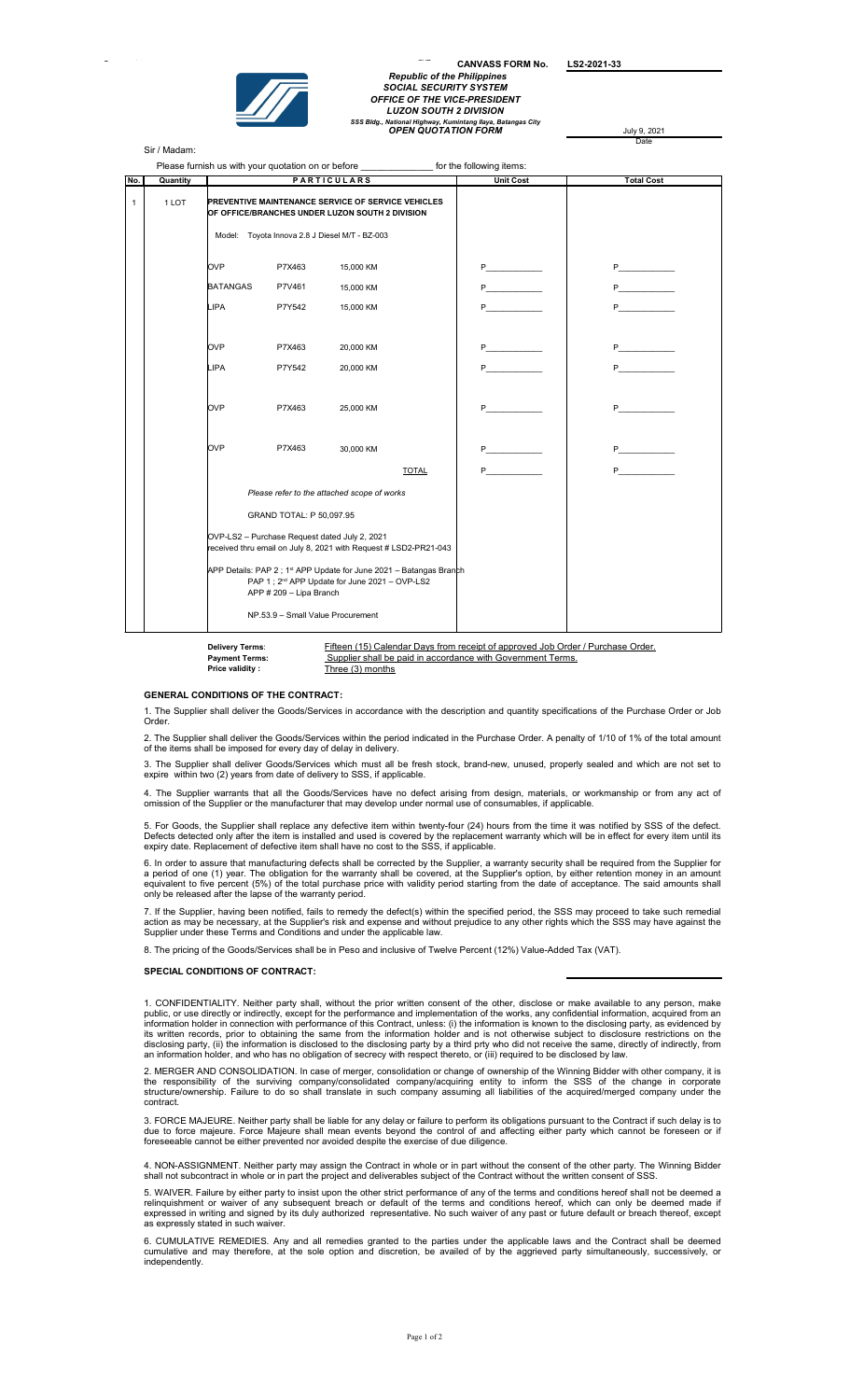

Page 1 of 2 SVP in the 2 SVP in the 2 SVP in the 2 SVP in the 2 SVP in the 2 SVP in the 2 SVP in the 2 SVP in <br>Page 1 of 2 SVP in the 2 SVP in the 2 SVP in the 2 SVP in the 2 SVP in the 2 SVP in the 2 SVP in the 2 SVP in CANVASS FORM No. LS2-2021-33 Republic of the Philippines SOCIAL SECURITY SYSTEM OFFICE OF THE VICE-PRESIDENT LUZON SOUTH 2 DIVISION SSS Bldg., National Highway, Kumintang Ilaya, Batangas City OPEN QUOTATION FORM July 9, 2021

Date

Sir / Madam:

|              |          |                                                                                                                                                                          |        | Please furnish us with your quotation on or before _______________________ for the following items: |              |                                                                                                                                                                                                                                          |                                                                                                                                                                                                                                         |  |
|--------------|----------|--------------------------------------------------------------------------------------------------------------------------------------------------------------------------|--------|-----------------------------------------------------------------------------------------------------|--------------|------------------------------------------------------------------------------------------------------------------------------------------------------------------------------------------------------------------------------------------|-----------------------------------------------------------------------------------------------------------------------------------------------------------------------------------------------------------------------------------------|--|
| No.          | Quantity | <b>PARTICULARS</b>                                                                                                                                                       |        |                                                                                                     |              | <b>Unit Cost</b>                                                                                                                                                                                                                         | <b>Total Cost</b>                                                                                                                                                                                                                       |  |
| $\mathbf{1}$ | 1 LOT    | PREVENTIVE MAINTENANCE SERVICE OF SERVICE VEHICLES<br>OF OFFICE/BRANCHES UNDER LUZON SOUTH 2 DIVISION<br>Model: Toyota Innova 2.8 J Diesel M/T - BZ-003                  |        |                                                                                                     |              |                                                                                                                                                                                                                                          |                                                                                                                                                                                                                                         |  |
|              |          | <b>OVP</b>                                                                                                                                                               | P7X463 | 15,000 KM                                                                                           |              | P <sub>art</sub> and the set of the set of the set of the set of the set of the set of the set of the set of the set of the set of the set of the set of the set of the set of the set of the set of the set of the set of the set of th | P <sub>2</sub> and the set of the set of the set of the set of the set of the set of the set of the set of the set of the set of the set of the set of the set of the set of the set of the set of the set of the set of the set of the |  |
|              |          | <b>BATANGAS</b>                                                                                                                                                          | P7V461 | 15,000 KM                                                                                           |              | P <sub>2</sub> and the set of the set of the set of the set of the set of the set of the set of the set of the set of the set of the set of the set of the set of the set of the set of the set of the set of the set of the set of the  | P <sub>2</sub> and the set of the set of the set of the set of the set of the set of the set of the set of the set of the set of the set of the set of the set of the set of the set of the set of the set of the set of the set of the |  |
|              |          | <b>LIPA</b>                                                                                                                                                              | P7Y542 | 15,000 KM                                                                                           |              | P <sub>2</sub>                                                                                                                                                                                                                           | P <sub>2</sub>                                                                                                                                                                                                                          |  |
|              |          | <b>OVP</b>                                                                                                                                                               | P7X463 | 20,000 KM                                                                                           |              | $P \qquad \qquad$                                                                                                                                                                                                                        | P <sub>2</sub>                                                                                                                                                                                                                          |  |
|              |          | <b>LIPA</b>                                                                                                                                                              | P7Y542 | 20,000 KM                                                                                           |              | P <sub>art</sub>                                                                                                                                                                                                                         | P <sub>2</sub>                                                                                                                                                                                                                          |  |
|              |          | <b>OVP</b>                                                                                                                                                               | P7X463 | 25,000 KM                                                                                           |              | P                                                                                                                                                                                                                                        | P <sub>art</sub>                                                                                                                                                                                                                        |  |
|              |          | <b>OVP</b>                                                                                                                                                               | P7X463 | 30,000 KM                                                                                           |              | P.                                                                                                                                                                                                                                       |                                                                                                                                                                                                                                         |  |
|              |          |                                                                                                                                                                          |        |                                                                                                     | <b>TOTAL</b> | P <sub>2</sub> and the set of the set of the set of the set of the set of the set of the set of the set of the set of the set of the set of the set of the set of the set of the set of the set of the set of the set of the set of the  |                                                                                                                                                                                                                                         |  |
|              |          | Please refer to the attached scope of works                                                                                                                              |        |                                                                                                     |              |                                                                                                                                                                                                                                          |                                                                                                                                                                                                                                         |  |
|              |          | GRAND TOTAL: P 50,097.95                                                                                                                                                 |        |                                                                                                     |              |                                                                                                                                                                                                                                          |                                                                                                                                                                                                                                         |  |
|              |          | OVP-LS2 - Purchase Request dated July 2, 2021<br>received thru email on July 8, 2021 with Request # LSD2-PR21-043                                                        |        |                                                                                                     |              |                                                                                                                                                                                                                                          |                                                                                                                                                                                                                                         |  |
|              |          | APP Details: PAP 2 ; 1 <sup>st</sup> APP Update for June 2021 - Batangas Branch<br>PAP 1 ; 2 <sup>nd</sup> APP Update for June 2021 - OVP-LS2<br>APP # 209 - Lipa Branch |        |                                                                                                     |              |                                                                                                                                                                                                                                          |                                                                                                                                                                                                                                         |  |
|              |          | NP.53.9 - Small Value Procurement                                                                                                                                        |        |                                                                                                     |              |                                                                                                                                                                                                                                          |                                                                                                                                                                                                                                         |  |

Price validity : Three (3) months

Fifteen (15) Calendar Days from receipt of approved Job Order / Purchase Order. Payment Terms: Supplier shall be paid in accordance with Government Terms.

## GENERAL CONDITIONS OF THE CONTRACT:

Delivery Terms:

1. The Supplier shall deliver the Goods/Services in accordance with the description and quantity specifications of the Purchase Order or Job **Order** 

2. The Supplier shall deliver the Goods/Services within the period indicated in the Purchase Order. A penalty of 1/10 of 1% of the total amount of the items shall be imposed for every day of delay in delivery.

3. The Supplier shall deliver Goods/Services which must all be fresh stock, brand-new, unused, properly sealed and which are not set to expire within two (2) years from date of delivery to SSS, if applicable.

4. The Supplier warrants that all the Goods/Services have no defect arising from design, materials, or workmanship or from any act of omission of the Supplier or the manufacturer that may develop under normal use of consumables, if applicable

5. For Goods, the Supplier shall replace any defective item within twenty-four (24) hours from the time it was notified by SSS of the defect.<br>Defects detected only after the item is installed and used is covered by the rep

6. In order to assure that manufacturing defects shall be corrected by the Supplier, a warranty security shall be required from the Supplier for<br>a period of one (1) year. The obligation for the warranty shall be covered, a

7. If the Supplier, having been notified, fails to remedy the defect(s) within the specified period, the SSS may proceed to take such remedial<br>action as may be necessary, at the Supplier's risk and expense and without prej

8. The pricing of the Goods/Services shall be in Peso and inclusive of Twelve Percent (12%) Value-Added Tax (VAT).

## SPECIAL CONDITIONS OF CONTRACT:

1. CONFIDENTIALITY. Neither party shall, without the prior written consent of the other, disclose or make available to any person, make public, or use directly or indirectly, except for the performance and implementation o

2. MERGER AND CONSOLIDATION. In case of merger, consolidation or change of ownership of the Winning Bidder with other company, it is<br>the responsibility of the surviving company/consolidated company/acquiring entity contract.

3. FORCE MAJEURE. Neither party shall be liable for any delay or failure to perform its obligations pursuant to the Contract if such delay is to<br>due to force majeure. Force Majeure shall mean events beyond the control of a

4. NON-ASSIGNMENT. Neither party may assign the Contract in whole or in part without the consent of the other party. The Winning Bidder<br>shall not subcontract in whole or in part the project and deliverables subject of the

5. WAIVER. Failure by either party to insist upon the other strict performance of any of the terms and conditions hereof shall not be deemed a<br>relinquishment or waiver of any subsequent breach or default of the terms and c

6. CUMULATIVE REMEDIES. Any and all remedies granted to the parties under the applicable laws and the Contract shall be deemed<br>cumulative and may therefore, at the sole option and discretion, be availed of by the aggrieved independently.